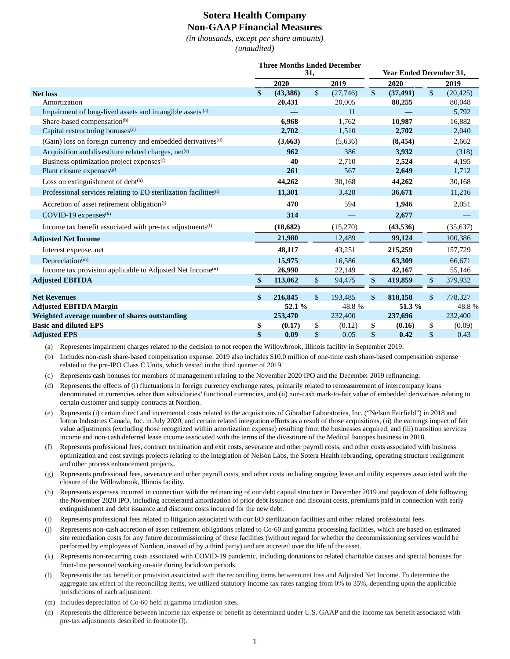## **Sotera Health Company Non-GAAP Financial Measures**

*(in thousands, except per share amounts) (unaudited)*

|                                                                              | <b>Three Months Ended December</b><br>31, |          |               |          | <b>Year Ended December 31,</b> |           |              |           |
|------------------------------------------------------------------------------|-------------------------------------------|----------|---------------|----------|--------------------------------|-----------|--------------|-----------|
|                                                                              |                                           | 2020     |               | 2019     |                                | 2020      |              | 2019      |
| <b>Net loss</b>                                                              | \$                                        | (43,386) | $\mathbb{S}$  | (27,746) | \$                             | (37, 491) | $\mathbb{S}$ | (20, 425) |
| Amortization                                                                 |                                           | 20,431   |               | 20,005   |                                | 80,255    |              | 80,048    |
| Impairment of long-lived assets and intangible assets (a)                    |                                           |          |               | 11       |                                |           |              | 5,792     |
| Share-based compensation <sup>(b)</sup>                                      |                                           | 6.968    |               | 1.762    |                                | 10.987    |              | 16,882    |
| Capital restructuring bonuses <sup>(c)</sup>                                 |                                           | 2,702    |               | 1,510    |                                | 2,702     |              | 2,040     |
| (Gain) loss on foreign currency and embedded derivatives <sup>(d)</sup>      |                                           | (3,663)  |               | (5,636)  |                                | (8, 454)  |              | 2,662     |
| Acquisition and divestiture related charges, net <sup>(e)</sup>              |                                           | 962      |               | 386      |                                | 3.932     |              | (318)     |
| Business optimization project expenses <sup>(f)</sup>                        |                                           | 40       |               | 2,710    |                                | 2,524     |              | 4,195     |
| Plant closure expenses $(9)$                                                 |                                           | 261      |               | 567      |                                | 2.649     |              | 1,712     |
| Loss on extinguishment of debt $(h)$                                         |                                           | 44,262   |               | 30,168   |                                | 44,262    |              | 30,168    |
| Professional services relating to EO sterilization facilities <sup>(i)</sup> |                                           | 11,301   |               | 3,428    |                                | 36,671    |              | 11,216    |
| Accretion of asset retirement obligation <sup>(j)</sup>                      |                                           | 470      |               | 594      |                                | 1.946     |              | 2,051     |
| COVID-19 expenses $(k)$                                                      |                                           | 314      |               |          |                                | 2,677     |              |           |
| Income tax benefit associated with pre-tax adjustments <sup>(1)</sup>        |                                           | (18,682) |               | (15,270) |                                | (43,536)  |              | (35,637)  |
| <b>Adjusted Net Income</b>                                                   |                                           | 21,980   |               | 12,489   |                                | 99,124    |              | 100,386   |
| Interest expense, net                                                        |                                           | 48,117   |               | 43,251   |                                | 215,259   |              | 157,729   |
| Depreciation(m)                                                              |                                           | 15,975   |               | 16,586   |                                | 63.309    |              | 66,671    |
| Income tax provision applicable to Adjusted Net Income <sup>(n)</sup>        |                                           | 26,990   |               | 22,149   |                                | 42,167    |              | 55,146    |
| <b>Adjusted EBITDA</b>                                                       | \$                                        | 113,062  | $\mathsf{\$}$ | 94,475   | \$                             | 419,859   | \$           | 379,932   |
| <b>Net Revenues</b>                                                          | \$                                        | 216,845  | $\mathcal{S}$ | 193,485  | \$                             | 818,158   | \$           | 778,327   |
| <b>Adjusted EBITDA Margin</b>                                                |                                           | 52.1 %   |               | 48.8%    |                                | 51.3 %    |              | 48.8%     |
| Weighted average number of shares outstanding                                |                                           | 253,470  |               | 232,400  |                                | 237,696   |              | 232,400   |
| <b>Basic and diluted EPS</b>                                                 | \$                                        | (0.17)   | \$            | (0.12)   | \$                             | (0.16)    | \$           | (0.09)    |
| <b>Adjusted EPS</b>                                                          | \$                                        | 0.09     | \$            | 0.05     | \$                             | 0.42      | \$           | 0.43      |

(a) Represents impairment charges related to the decision to not reopen the Willowbrook, Illinois facility in September 2019.

(b) Includes non-cash share-based compensation expense. 2019 also includes \$10.0 million of one-time cash share-based compensation expense related to the pre-IPO Class C Units, which vested in the third quarter of 2019.

- (c) Represents cash bonuses for members of management relating to the November 2020 IPO and the December 2019 refinancing.
- (d) Represents the effects of (i) fluctuations in foreign currency exchange rates, primarily related to remeasurement of intercompany loans denominated in currencies other than subsidiaries' functional currencies, and (ii) non-cash mark-to-fair value of embedded derivatives relating to certain customer and supply contracts at Nordion.
- (e) Represents (i) certain direct and incremental costs related to the acquisitions of Gibraltar Laboratories, Inc. ("Nelson Fairfield") in 2018 and Iotron Industries Canada, Inc. in July 2020, and certain related integration efforts as a result of those acquisitions, (ii) the earnings impact of fair value adjustments (excluding those recognized within amortization expense) resulting from the businesses acquired, and (iii) transition services income and non-cash deferred lease income associated with the terms of the divestiture of the Medical Isotopes business in 2018.
- (f) Represents professional fees, contract termination and exit costs, severance and other payroll costs, and other costs associated with business optimization and cost savings projects relating to the integration of Nelson Labs, the Sotera Health rebranding, operating structure realignment and other process enhancement projects.
- (g) Represents professional fees, severance and other payroll costs, and other costs including ongoing lease and utility expenses associated with the closure of the Willowbrook, Illinois facility.
- (h) Represents expenses incurred in connection with the refinancing of our debt capital structure in December 2019 and paydown of debt following the November 2020 IPO, including accelerated amortization of prior debt issuance and discount costs, premiums paid in connection with early extinguishment and debt issuance and discount costs incurred for the new debt.
- (i) Represents professional fees related to litigation associated with our EO sterilization facilities and other related professional fees.
- (j) Represents non-cash accretion of asset retirement obligations related to Co-60 and gamma processing facilities, which are based on estimated site remediation costs for any future decommissioning of these facilities (without regard for whether the decommissioning services would be performed by employees of Nordion, instead of by a third party) and are accreted over the life of the asset.
- (k) Represents non-recurring costs associated with COVID-19 pandemic, including donations to related charitable causes and special bonuses for front-line personnel working on-site during lockdown periods.
- Represents the tax benefit or provision associated with the reconciling items between net loss and Adjusted Net Income. To determine the aggregate tax effect of the reconciling items, we utilized statutory income tax rates ranging from 0% to 35%, depending upon the applicable jurisdictions of each adjustment.
- (m) Includes depreciation of Co-60 held at gamma irradiation sites.
- (n) Represents the difference between income tax expense or benefit as determined under U.S. GAAP and the income tax benefit associated with pre-tax adjustments described in footnote (l).